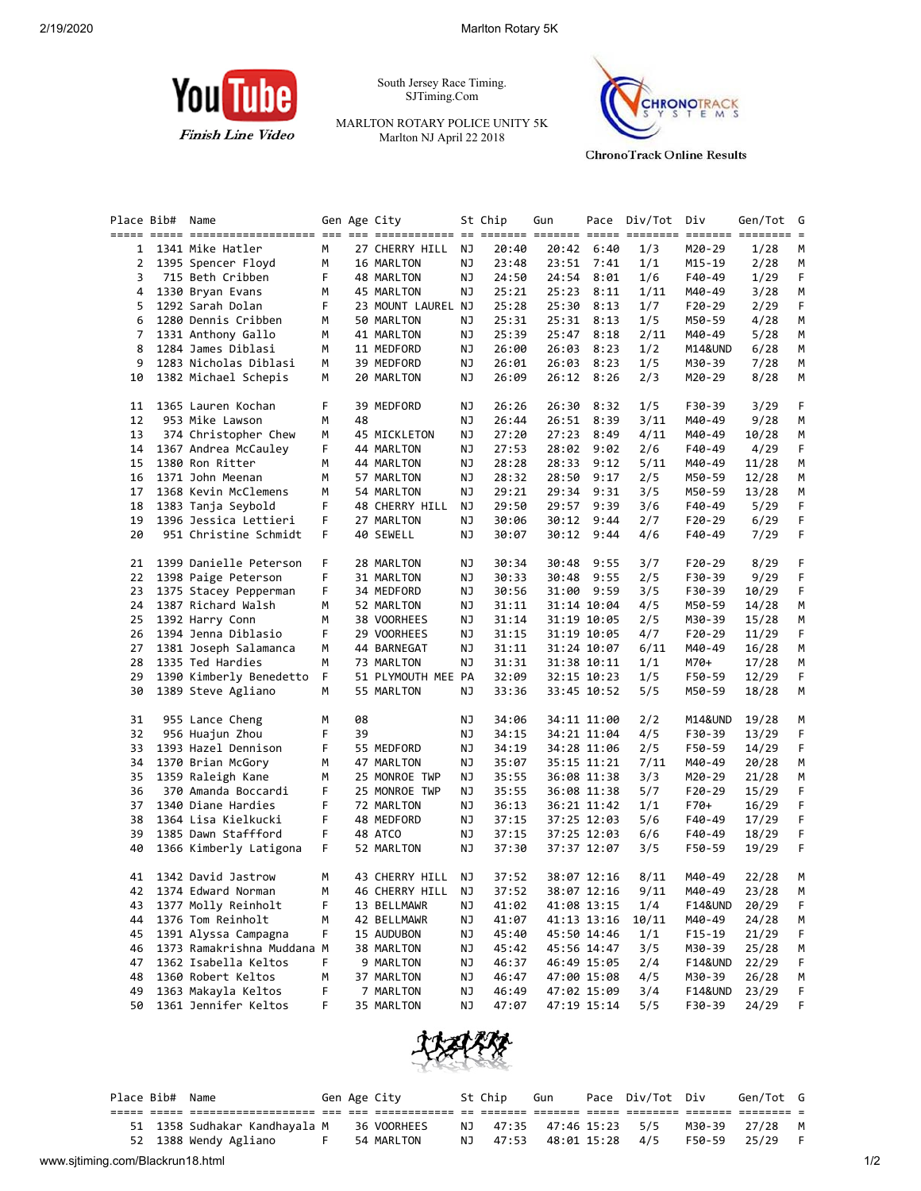

South Jersey Race Timing. SJTiming.Com

MARLTON ROTARY POLICE UNITY 5K Marlton NJ April 22 2018



**ChronoTrack Online Results** 

|          | Place Bib# Name |                                               |         |    | Gen Age City          |          | St Chip        | Gun   |                            | Pace Div/Tot | Div                | Gen/Tot        | G      |
|----------|-----------------|-----------------------------------------------|---------|----|-----------------------|----------|----------------|-------|----------------------------|--------------|--------------------|----------------|--------|
|          |                 |                                               |         |    |                       |          |                |       |                            |              |                    |                |        |
| 1        |                 | 1341 Mike Hatler                              | М       |    | 27 CHERRY HILL        | ΝJ       | 20:40          |       | 20:42 6:40                 | 1/3          | M20-29             | 1/28           | M      |
| 2        |                 | 1395 Spencer Floyd                            | м       |    | 16 MARLTON            | ΝJ       | 23:48          | 23:51 | 7:41                       | 1/1          | M15-19             | 2/28           | М      |
| 3        |                 | 715 Beth Cribben                              | F       |    | 48 MARLTON            | ΝJ       | 24:50          | 24:54 | 8:01                       | 1/6          | F40-49             | 1/29           | F      |
| 4        |                 | 1330 Bryan Evans                              | М       |    | 45 MARLTON            | ΝJ       | 25:21          | 25:23 | 8:11                       | 1/11         | M40-49             | 3/28           | М      |
| 5        |                 | 1292 Sarah Dolan                              | F       |    | 23 MOUNT LAUREL NJ    |          | 25:28          | 25:30 | 8:13                       | 1/7          | F20-29             | 2/29           | F.     |
| 6        |                 | 1280 Dennis Cribben                           | М       |    | 50 MARLTON            | ΝJ       | 25:31          | 25:31 | 8:13                       | 1/5          | M50-59             | 4/28           | М      |
| 7        |                 | 1331 Anthony Gallo                            | м       |    | 41 MARLTON            | ΝJ       | 25:39          | 25:47 | 8:18                       | 2/11         | M40-49             | 5/28           | М      |
| 8        |                 | 1284 James Diblasi                            | м       |    | 11 MEDFORD            | ΝJ       | 26:00          | 26:03 | 8:23                       | 1/2          | M14&UND            | 6/28           | M      |
| 9        |                 | 1283 Nicholas Diblasi                         | М       |    | 39 MEDFORD            | ΝJ       | 26:01          | 26:03 | 8:23                       | 1/5          | M30-39             | 7/28           | М      |
| 10       |                 | 1382 Michael Schepis                          | М       |    | 20 MARLTON            | ΝJ       | 26:09          |       | 26:12 8:26                 | 2/3          | M20-29             | 8/28           | М      |
| 11       |                 | 1365 Lauren Kochan                            | F       |    | 39 MEDFORD            | ΝJ       | 26:26          | 26:30 | 8:32                       | 1/5          | F30-39             | 3/29           | F      |
| 12       |                 | 953 Mike Lawson                               | м       | 48 |                       | ΝJ       | 26:44          | 26:51 | 8:39                       | 3/11         | M40-49             | 9/28           | М      |
| 13       |                 | 374 Christopher Chew                          | м       |    | 45 MICKLETON          | ΝJ       | 27:20          | 27:23 | 8:49                       | 4/11         | M40-49             | 10/28          | М      |
| 14       |                 | 1367 Andrea McCauley                          | F       |    | 44 MARLTON            | ΝJ       | 27:53          | 28:02 | 9:02                       | 2/6          | F40-49             | 4/29           | F      |
| 15       |                 | 1380 Ron Ritter                               | м       |    | 44 MARLTON            | ΝJ       | 28:28          | 28:33 | 9:12                       | 5/11         | M40-49             | 11/28          | M      |
| 16       |                 | 1371 John Meenan                              | м       |    | 57 MARLTON            | ΝJ       | 28:32          | 28:50 | 9:17                       | 2/5          | M50-59             | 12/28          | M      |
| 17       |                 | 1368 Kevin McClemens                          | М       |    | 54 MARLTON            | ΝJ       | 29:21          | 29:34 | 9:31                       | 3/5          | M50-59             | 13/28          | М      |
| 18       |                 | 1383 Tanja Seybold                            | F       |    | 48 CHERRY HILL        | ΝJ       | 29:50          | 29:57 | 9:39                       | 3/6          | F40-49             | 5/29           | F      |
| 19       |                 | 1396 Jessica Lettieri                         | F       |    | 27 MARLTON            | ΝJ       | 30:06          | 30:12 | 9:44                       | 2/7          | $F20-29$           | 6/29           | F      |
| 20       |                 | 951 Christine Schmidt                         | F.      |    | 40 SEWELL             | ΝJ       | 30:07          |       | 30:12 9:44                 | 4/6          | F40-49             | 7/29           | F      |
| 21       |                 | 1399 Danielle Peterson                        | F       |    | 28 MARLTON            | ΝJ       | 30:34          | 30:48 | 9:55                       | 3/7          | F20-29             | 8/29           | F      |
| 22       |                 | 1398 Paige Peterson                           | F       |    | 31 MARLTON            | ΝJ       | 30:33          | 30:48 | 9:55                       | 2/5          | F30-39             | 9/29           | F      |
| 23       |                 | 1375 Stacey Pepperman                         | F       |    | 34 MEDFORD            | ΝJ       | 30:56          | 31:00 | 9:59                       | 3/5          | F30-39             | 10/29          | F      |
| 24       |                 | 1387 Richard Walsh                            | м       |    | 52 MARLTON            | ΝJ       | 31:11          |       | 31:14 10:04                | 4/5          | M50-59             | 14/28          | М      |
| 25       |                 | 1392 Harry Conn                               | М       |    | 38 VOORHEES           | ΝJ       | 31:14          |       | 31:19 10:05                | 2/5          | M30-39             | 15/28          | М      |
| 26       |                 | 1394 Jenna Diblasio                           | F       |    | 29 VOORHEES           | ΝJ       | 31:15          |       | 31:19 10:05                | 4/7          | $F20-29$           | 11/29          | F.     |
| 27       |                 | 1381 Joseph Salamanca                         | м       |    | 44 BARNEGAT           | ΝJ       | 31:11          |       | 31:24 10:07                | 6/11         | M40-49             | 16/28          | M      |
| 28       |                 | 1335 Ted Hardies                              | М       |    | 73 MARLTON            | ΝJ       | 31:31          |       | 31:38 10:11                | 1/1          | M70+               | 17/28          | М      |
| 29       |                 | 1390 Kimberly Benedetto                       | F.      |    | 51 PLYMOUTH MEE PA    |          | 32:09          |       | 32:15 10:23                | 1/5          | F50-59             | 12/29          | F.     |
| 30       |                 | 1389 Steve Agliano                            | М       |    | 55 MARLTON            | ΝJ       | 33:36          |       | 33:45 10:52                | 5/5          | M50-59             | 18/28          | M      |
| 31       |                 | 955 Lance Cheng                               | м       | 08 |                       | ΝJ       | 34:06          |       | 34:11 11:00                | 2/2          | M14&UND            | 19/28          | M      |
| 32       |                 | 956 Huajun Zhou                               | F       | 39 |                       | ΝJ       | 34:15          |       | 34:21 11:04                | 4/5          | F30-39             | 13/29          | F      |
| 33       |                 | 1393 Hazel Dennison                           | F       |    | 55 MEDFORD            | ΝJ       | 34:19          |       | 34:28 11:06                | 2/5          | F50-59             | 14/29          | F      |
| 34       |                 | 1370 Brian McGory                             | М       |    | 47 MARLTON            | ΝJ       | 35:07          |       | 35:15 11:21                | 7/11         | M40-49             | 20/28          | M      |
| 35       |                 | 1359 Raleigh Kane                             | м       |    | 25 MONROE TWP         | ΝJ       | 35:55          |       | 36:08 11:38                | 3/3          | M20-29             | 21/28          | М      |
| 36       |                 | 370 Amanda Boccardi                           | F       |    | 25 MONROE TWP         | ΝJ       | 35:55          |       | 36:08 11:38                | 5/7          | $F20-29$           | 15/29          | F      |
| 37       |                 | 1340 Diane Hardies                            | F       |    | 72 MARLTON            | ΝJ       | 36:13          |       | 36:21 11:42                | 1/1          | F70+               | 16/29          | F      |
| 38       |                 | 1364 Lisa Kielkucki                           | F       |    | 48 MEDFORD            |          | 37:15          |       | 37:25 12:03                | 5/6          |                    |                | F      |
|          |                 |                                               |         |    |                       | ΝJ       |                |       |                            |              | F40-49             | 17/29          |        |
| 39<br>40 |                 | 1385 Dawn Staffford<br>1366 Kimberly Latigona | F<br>F. |    | 48 ATCO<br>52 MARLTON | ΝJ<br>ΝJ | 37:15<br>37:30 |       | 37:25 12:03<br>37:37 12:07 | 6/6<br>3/5   | F40-49<br>F50-59   | 18/29<br>19/29 | F<br>F |
| 41       |                 | 1342 David Jastrow                            | м       |    | 43 CHERRY HILL        | ΝJ       | 37:52          |       | 38:07 12:16                | 8/11         | M40-49             | 22/28          | M      |
| 42       |                 | 1374 Edward Norman                            | М       |    | 46 CHERRY HILL NJ     |          | 37:52          |       | 38:07 12:16                | 9/11         | M40-49             | 23/28          | M      |
|          |                 |                                               |         |    |                       |          |                |       |                            |              |                    |                |        |
| 43       |                 | 1377 Molly Reinholt                           | F       |    | 13 BELLMAWR           | ΝJ       | 41:02          |       | 41:08 13:15                | 1/4          | F14&UND            | 20/29          | F      |
| 44       |                 | 1376 Tom Reinholt                             | M       |    | 42 BELLMAWR           | ΝJ       | 41:07          |       | 41:13 13:16                | 10/11        | M40-49             | 24/28          | M      |
| 45       |                 | 1391 Alyssa Campagna                          | F       |    | 15 AUDUBON            | ΝJ       | 45:40          |       | 45:50 14:46                | 1/1          | $F15 - 19$         | 21/29          | F      |
| 46       |                 | 1373 Ramakrishna Muddana M                    |         |    | 38 MARLTON            | ΝJ       | 45:42          |       | 45:56 14:47                | 3/5          | M30-39             | 25/28          | M      |
| 47       |                 | 1362 Isabella Keltos                          | F       |    | 9 MARLTON             | ΝJ       | 46:37          |       | 46:49 15:05                | 2/4          | <b>F14&amp;UND</b> | 22/29          | F      |
| 48       |                 | 1360 Robert Keltos                            | М       |    | 37 MARLTON            | ΝJ       | 46:47          |       | 47:00 15:08                | 4/5          | M30-39             | 26/28          | M      |
| 49       |                 | 1363 Makayla Keltos                           | F       |    | 7 MARLTON             | ΝJ       | 46:49          |       | 47:02 15:09                | 3/4          | <b>F14&amp;UND</b> | 23/29          | F      |
| 50       |                 | 1361 Jennifer Keltos                          | F       |    | 35 MARLTON            | ΝJ       | 47:07          |       | 47:19 15:14                | 5/5          | F30-39             | 24/29          | F      |
|          |                 |                                               |         |    |                       |          |                |       |                            |              |                    |                |        |



|                                  | Place Bib# Name |                                            |  | Gen Age City | St Chip | Gun                      | Pace Div/Tot Div |        | Gen/Tot G    |     |     |
|----------------------------------|-----------------|--------------------------------------------|--|--------------|---------|--------------------------|------------------|--------|--------------|-----|-----|
|                                  |                 |                                            |  |              |         |                          |                  |        |              |     |     |
|                                  |                 | 51 1358 Sudhakar Kandhayala M              |  | 36 VOORHEES  |         | NJ 47:35 47:46 15:23 5/5 |                  |        | M30-39 27/28 |     |     |
|                                  |                 | 52 1388 Wendy Agliano<br>and <b>Figure</b> |  | 54 MARLTON   |         | NJ 47:53 48:01 15:28 4/5 |                  | F50-59 | 25/29        | - F |     |
| www.sjtiming.com/Blackrun18.html |                 |                                            |  |              |         |                          |                  |        |              |     | 1/2 |